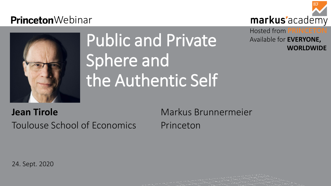### **Princeton**Webinar



# Public and Private Sphere and the Authentic Self

**Jean Tirole** Markus Brunnermeier Toulouse School of Economics Princeton

24. Sept. 2020



### markus'academy

### Hosted from **PRINCETON** Available for **EVERYONE, WORLDWIDE**

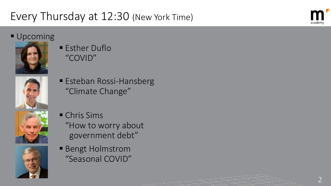## Every Thursday at 12:30 (New York Time)

### **Upcoming**



**Esther Duflo** "COVID"



■ Esteban Rossi-Hansberg "Climate Change"





- **Chris Sims** "How to worry about government debt"
- **Bengt Holmstrom** "Seasonal COVID"



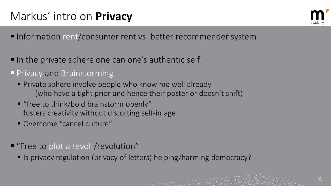3

## Markus' intro on **Privacy**

- Information rent/consumer rent vs. better recommender system
- In the private sphere one can one's authentic self
- **Privacy and Brainstorming** 
	- **Private sphere involve people who know me well already** (who have a tight prior and hence their posterior doesn't shift)
	- **"** "free to think/bold brainstorm openly" fosters creativity without distorting self-image
	- Overcome "cancel culture"
- **"** "Free to plot a revolt/revolution"
	- Is privacy regulation (privacy of letters) helping/harming democracy?



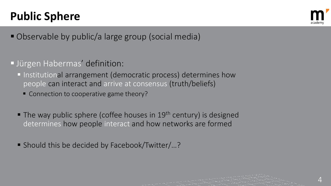- Observable by public/a large group (social media)
- **Jürgen Habermas' definition:** 
	- Institutional arrangement (democratic process) determines how people can interact and arrive at consensus (truth/beliefs)
		- Connection to cooperative game theory?
	- $\blacksquare$  The way public sphere (coffee houses in 19<sup>th</sup> century) is designed determines how people interact and how networks are formed
	- Should this be decided by Facebook/Twitter/...?



4

## **Public Sphere**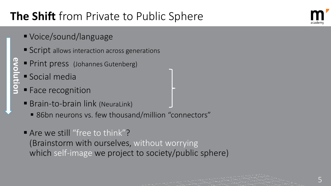- Voice/sound/language
- Script allows interaction across generations
- **Print press** (Johannes Gutenberg)
- Social media
- **Face recognition**
- Brain-to-brain link (NeuraLink)
	- 86bn neurons vs. few thousand/million "connectors"
- Are we still "free to think"? (Brainstorm with ourselves, without worrying which self-image we project to society/public sphere)

**evolution**evolution



5



## **The Shift** from Private to Public Sphere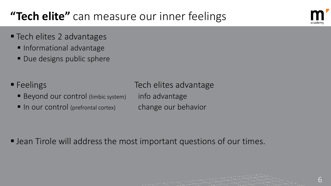Jean Tirole will address the most important questions of our times.



6

## **"Tech elite"** can measure our inner feelings

- **Tech elites 2 advantages** 
	- **Informational advantage**
	- Due designs public sphere
- Feelings Tech elites advantage Beyond our control (limbic system) info advantage
	- In our control (prefrontal cortex) change our behavior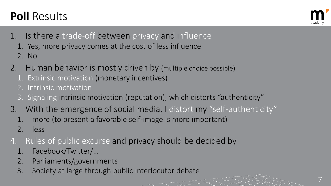- 1. Is there a trade-off between privacy and influence
	- 1. Yes, more privacy comes at the cost of less influence
	- 2. No
- 2. Human behavior is mostly driven by (multiple choice possible)
	- 1. Extrinsic motivation (monetary incentives)
	- 2. Intrinsic motivation
	- 3. Signaling intrinsic motivation (reputation), which distorts "authenticity"
- 3. With the emergence of social media, I distort my "self-authenticity"
	- 1. more (to present a favorable self-image is more important)
	- 2. less
- 4. Rules of public excurse and privacy should be decided by
	- 1. Facebook/Twitter/…
	- 2. Parliaments/governments
	- 3. Society at large through public interlocutor debate





## **Poll** Results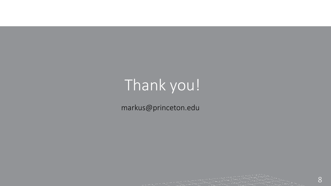# Thank you!

markus@princeton.edu



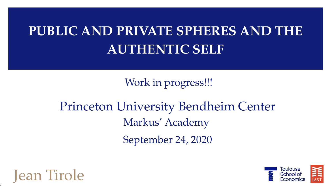### **PUBLIC AND PRIVATE SPHERES AND THE AUTHENTIC SELF**

Work in progress!!!

Princeton University Bendheim Center Markus' Academy September 24, 2020



,

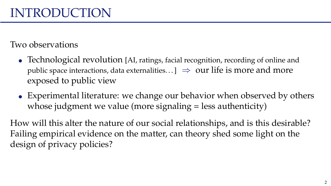Two observations

- Technological revolution [AI, ratings, facial recognition, recording of online and public space interactions, data externalities.  $\Box \Rightarrow$  our life is more and more exposed to public view
- Experimental literature: we change our behavior when observed by others whose judgment we value (more signaling = less authenticity)

How will this alter the nature of our social relationships, and is this desirable? Failing empirical evidence on the matter, can theory shed some light on the design of privacy policies?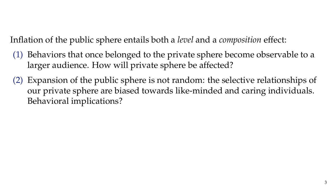Inflation of the public sphere entails both a *level* and a *composition* effect:

- (1) Behaviors that once belonged to the private sphere become observable to a larger audience. How will private sphere be affected?
- (2) Expansion of the public sphere is not random: the selective relationships of our private sphere are biased towards like-minded and caring individuals. Behavioral implications?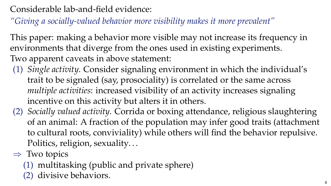Considerable lab-and-field evidence:

*"Giving a socially-valued behavior more visibility makes it more prevalent"*

This paper: making a behavior more visible may not increase its frequency in environments that diverge from the ones used in existing experiments. Two apparent caveats in above statement:

- (1) *Single activity*. Consider signaling environment in which the individual's trait to be signaled (say, prosociality) is correlated or the same across *multiple activities*: increased visibility of an activity increases signaling incentive on this activity but alters it in others.
- (2) *Socially valued activity*. Corrida or boxing attendance, religious slaughtering of an animal: A fraction of the population may infer good traits (attachment to cultural roots, conviviality) while others will find the behavior repulsive. Politics, religion, sexuality. . .
- $\Rightarrow$  Two topics
	- (1) multitasking (public and private sphere)
	- (2) divisive behaviors.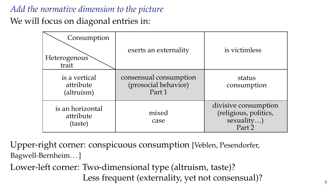#### *Add the normative dimension to the picture*

We will focus on diagonal entries in:

| Consumption<br>Heterogenous<br>trait     | exerts an externality                                    | is victimless                                                         |
|------------------------------------------|----------------------------------------------------------|-----------------------------------------------------------------------|
| is a vertical<br>attribute<br>(altruism) | consensual consumption<br>(prosocial behavior)<br>Part 1 | status<br>consumption                                                 |
| is an horizontal<br>attribute<br>(taste) | mixed<br>case                                            | divisive consumption<br>(religious, politics,<br>sexuality)<br>Part 2 |

Upper-right corner: conspicuous consumption [Veblen, Pesendorfer, Bagwell-Bernheim. . . ]

Lower-left corner: Two-dimensional type (altruism, taste)? Less frequent (externality, yet not consensual)?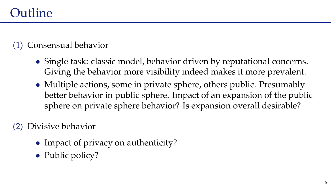#### (1) Consensual behavior

- Single task: classic model, behavior driven by reputational concerns. Giving the behavior more visibility indeed makes it more prevalent.
- Multiple actions, some in private sphere, others public. Presumably better behavior in public sphere. Impact of an expansion of the public sphere on private sphere behavior? Is expansion overall desirable?

(2) Divisive behavior

- Impact of privacy on authenticity?
- Public policy?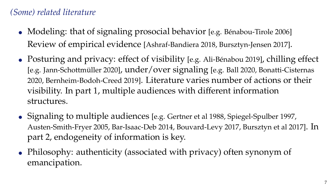#### *(Some) related literature*

- Modeling: that of signaling prosocial behavior [e.g. Bénabou-Tirole 2006] Review of empirical evidence [Ashraf-Bandiera 2018, Bursztyn-Jensen 2017].
- Posturing and privacy: effect of visibility [e.g. Ali-Bénabou 2019], chilling effect [e.g. Jann-Schottmüller 2020], under/over signaling [e.g. Ball 2020, Bonatti-Cisternas 2020, Bernheim-Bodoh-Creed 2019]. Literature varies number of actions or their visibility. In part 1, multiple audiences with different information structures.
- Signaling to multiple audiences [e.g. Gertner et al 1988, Spiegel-Spulber 1997, Austen-Smith-Fryer 2005, Bar-Isaac-Deb 2014, Bouvard-Levy 2017, Bursztyn et al 2017]. In part 2, endogeneity of information is key.
- Philosophy: authenticity (associated with privacy) often synonym of emancipation.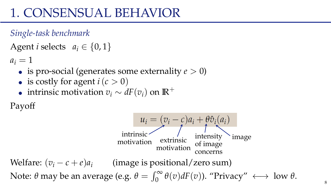#### *Single-task benchmark*

```
Agent i selects a_i \in \{0, 1\}
```
 $a_i = 1$ 

- is pro-social (generates some externality  $e > 0$ )
- is costly for agent  $i(c > 0)$
- intrinsic motivation  $v_i \sim dF(v_i)$  on  $\mathbb{R}^+$

Payoff

$$
u_i = (v_i - c)a_i + θ\hat{v}_i(a_i)
$$
  
intrinsic  
motivation  
concerns  
Welfare:  $(v_i - c + e)a_i$  (image is positional/zero sum)  
Note: θ may be an average (e.g. θ =  $\int_0^\infty θ(v)dF(v)$ ). "Privacy" ←  
low θ.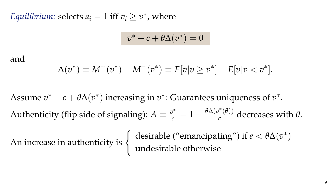*Equilibrium:* selects  $a_i = 1$  iff  $v_i \ge v^*$ , where

$$
v^* - c + \theta \Delta(v^*) = 0
$$

#### and

$$
\Delta(v^*) \equiv M^+(v^*) - M^-(v^*) \equiv E[v|v \ge v^*] - E[v|v < v^*].
$$

Assume  $v^* - c + \theta \Delta(v^*)$  increasing in  $v^*$ : Guarantees uniqueness of  $v^*$ . Authenticity (flip side of signaling):  $A \equiv \frac{v^*}{c} = 1 - \frac{\theta \Delta(v^*(\theta))}{c}$  $\frac{\partial}{\partial c}$  decreases with  $\theta$ .

An increase in authenticity is  $\begin{cases} \text{ desirable ("emancing") if } e < \theta \Delta(v^*) \end{cases}$ undesirable otherwise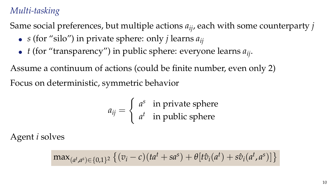#### *Multi-tasking*

Same social preferences, but multiple actions *aij*, each with some counterparty *j*

- *s* (for "silo") in private sphere: only *j* learns  $a_{ii}$
- $\bullet$  *t* (for "transparency") in public sphere: everyone learns  $a_{ij}$ .

Assume a continuum of actions (could be finite number, even only 2) Focus on deterministic, symmetric behavior

$$
a_{ij} = \begin{cases} a^s & \text{in private sphere} \\ a^t & \text{in public sphere} \end{cases}
$$

Agent *i* solves

$$
\max_{(a^t,a^s)\in\{0,1\}^2}\left\{(v_i-c)(ta^t+sa^s)+\theta[t\hat{v}_i(a^t)+s\hat{v}_i(a^t,a^s)]\right\}
$$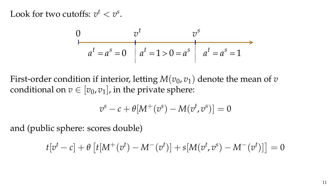Look for two cutoffs:  $v^t < v^s$ .

$$
0 \t vt
$$
  
\n
$$
at = as = 0
$$
  
\n
$$
at = 1 > 0 = as
$$
  
\n
$$
at = as = 1
$$

First-order condition if interior, letting  $M(v_0, v_1)$  denote the mean of *v* conditional on  $v \in [v_0, v_1]$ , in the private sphere:

$$
v^s - c + \theta[M^+(\overline{v}^s) - M(\overline{v}^t, \overline{v}^s)] = 0
$$

and (public sphere: scores double)

$$
t[v^t - c] + \theta \left[ t[M^+(v^t) - M^-(v^t)] + s[M(v^t, v^s) - M^-(v^t)] \right] = 0
$$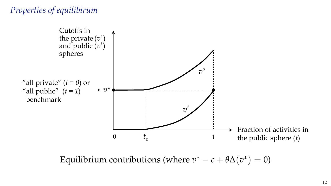#### *Properties of equilibirum*



Equilibrium contributions (where  $v^* - c + \theta \Delta(v^*) = 0$ )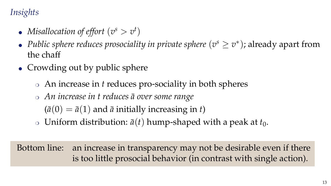#### *Insights*

- *Misallocation of effort*  $(v^s > v^t)$
- *Public sphere reduces prosociality in private sphere*  $(v^s \ge v^*)$ ; already apart from the chaff
- Crowding out by public sphere
	- ❍ An increase in *t* reduces pro-sociality in both spheres
	- ❍ *An increase in t reduces a over some range* ¯

 $(\bar{a}(0) = \bar{a}(1)$  and  $\bar{a}$  initially increasing in *t*)

 $\circ$  Uniform distribution:  $\bar{a}(t)$  hump-shaped with a peak at  $t_0$ .

Bottom line: an increase in transparency may not be desirable even if there is too little prosocial behavior (in contrast with single action).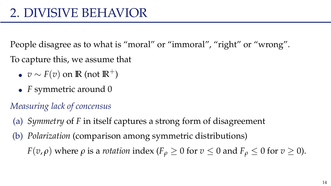People disagree as to what is "moral" or "immoral", "right" or "wrong". To capture this, we assume that

- $\bullet \, v \sim F(v)$  on **R** (not **R**<sup>+</sup>)
- *F* symmetric around 0

#### *Measuring lack of concensus*

- (a) *Symmetry* of *F* in itself captures a strong form of disagreement
- (b) *Polarization* (comparison among symmetric distributions)

*F*(*v*,  $\rho$ ) where  $\rho$  is a *rotation* index (*F*<sub> $o$ </sub>  $\geq$  0 for *v*  $\leq$  0 and *F*<sub> $o$ </sub>  $\leq$  0 for *v*  $\geq$  0).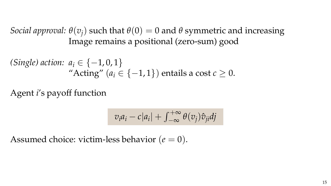*Social approval:*  $\theta(v_i)$  such that  $\theta(0) = 0$  and  $\theta$  symmetric and increasing Image remains a positional (zero-sum) good

(Single) action: 
$$
a_i \in \{-1, 0, 1\}
$$
  
"Acting"  $(a_i \in \{-1, 1\})$  entails a cost  $c \ge 0$ .

Agent *i*'s payoff function

$$
v_i a_i - c|a_i| + \int_{-\infty}^{+\infty} \theta(v_j) \hat{v}_{ji} dj
$$

Assumed choice: victim-less behavior  $(e = 0)$ .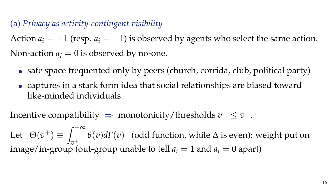(a) *Privacy as activity-contingent visibility*

Action  $a_i = +1$  (resp.  $a_i = -1$ ) is observed by agents who select the same action. Non-action  $a_i = 0$  is observed by no-one.

- safe space frequented only by peers (church, corrida, club, political party)
- captures in a stark form idea that social relationships are biased toward like-minded individuals.

Incentive compatibility  $\Rightarrow$  monotonicity/thresholds  $v^- \leq v^+$ .

Let  $\Theta(v^+) \equiv \int_{v_0}^{+\infty}$ *v*+ *θ*(*v*)*dF*(*v*) (odd function, while ∆ is even): weight put on image/in-group (out-group unable to tell  $a_i = 1$  and  $a_i = 0$  apart)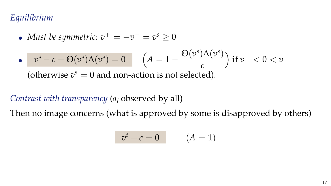#### *Equilibrium*

• Must be symmetric: 
$$
v^+ = -v^- = v^s \ge 0
$$

$$
\bullet \quad \ v^s - c + \Theta(v^s) \Delta(v^s) = 0 \qquad \Big( A = 1 - \frac{\Theta(v^s) \Delta(v^s)}{c} \Big) \text{ if } v^- < 0 < v^+
$$

(otherwise  $v^s = 0$  and non-action is not selected).

#### *Contrast with transparency* (*a<sup>i</sup>* observed by all)

Then no image concerns (what is approved by some is disapproved by others)

$$
v^t - c = 0 \qquad (A = 1)
$$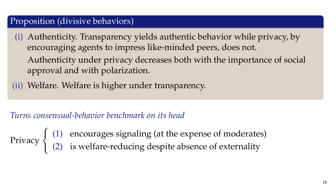#### Proposition (divisive behaviors)

(i) Authenticity. Transparency yields authentic behavior while privacy, by encouraging agents to impress like-minded peers, does not. Authenticity under privacy decreases both with the importance of social approval and with polarization.

(ii) Welfare. Welfare is higher under transparency.

#### *Turns consensual-behavior benchmark on its head*

Privacy  $\begin{cases} (1) & \text{encourages signaling (at the expense of moderate)} \\ (2) & \text{is well for instance, during the scheme of outer ellipse.} \end{cases}$ (2) is welfare-reducing despite absence of externality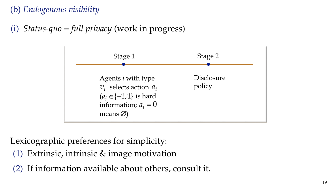#### (b) *Endogenous visibility*

#### (i) *Status-quo = full privacy* (work in progress)



Lexicographic preferences for simplicity:

- (1) Extrinsic, intrinsic & image motivation
- (2) If information available about others, consult it.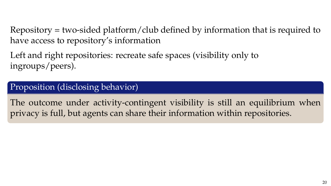Repository = two-sided platform/club defined by information that is required to have access to repository's information

Left and right repositories: recreate safe spaces (visibility only to ingroups/peers).

#### Proposition (disclosing behavior)

The outcome under activity-contingent visibility is still an equilibrium when privacy is full, but agents can share their information within repositories.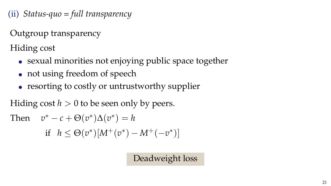(ii) *Status-quo = full transparency*

Outgroup transparency

Hiding cost

- sexual minorities not enjoying public space together
- not using freedom of speech
- resorting to costly or untrustworthy supplier

Hiding cost  $h > 0$  to be seen only by peers.

Then 
$$
v^* - c + \Theta(v^*)\Delta(v^*) = h
$$
  
if  $h \leq \Theta(v^*)[M^+(v^*) - M^+(-v^*)]$ 

Deadweight loss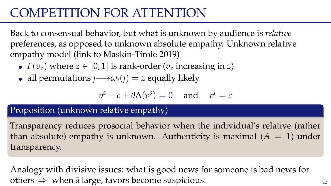### COMPETITION FOR ATTENTION

Back to consensual behavior, but what is unknown by audience is *relative* preferences, as opposed to unknown absolute empathy. Unknown relative empathy model (link to Maskin-Tirole 2019)

- $F(v_z)$  where  $z \in [0, 1]$  is rank-order  $(v_z$  increasing in *z*)
- all permutations  $j \rightarrow \omega_i(j) = z$  equally likely

$$
v^s - c + \theta \Delta(v^s) = 0
$$
 and  $v^t = c$ 

Proposition (unknown relative empathy)

Transparency reduces prosocial behavior when the individual's relative (rather than absolute) empathy is unknown. Authenticity is maximal  $(A = 1)$  under transparency.

Analogy with divisive issues: what is good news for someone is bad news for others  $\Rightarrow$  when  $\bar{a}$  large, favors become suspicious. 22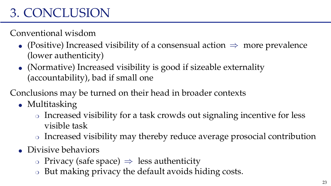### 3. CONCLUSION

Conventional wisdom

- (Positive) Increased visibility of a consensual action  $\Rightarrow$  more prevalence (lower authenticity)
- $\bullet$  (Normative) Increased visibility is good if sizeable externality (accountability), bad if small one
- Conclusions may be turned on their head in broader contexts
	- Multitasking
		- ❍ Increased visibility for a task crowds out signaling incentive for less visible task
		- ❍ Increased visibility may thereby reduce average prosocial contribution
	- Divisive behaviors
		- ❍ Privacy (safe space) ⇒ less authenticity
		- ❍ But making privacy the default avoids hiding costs.